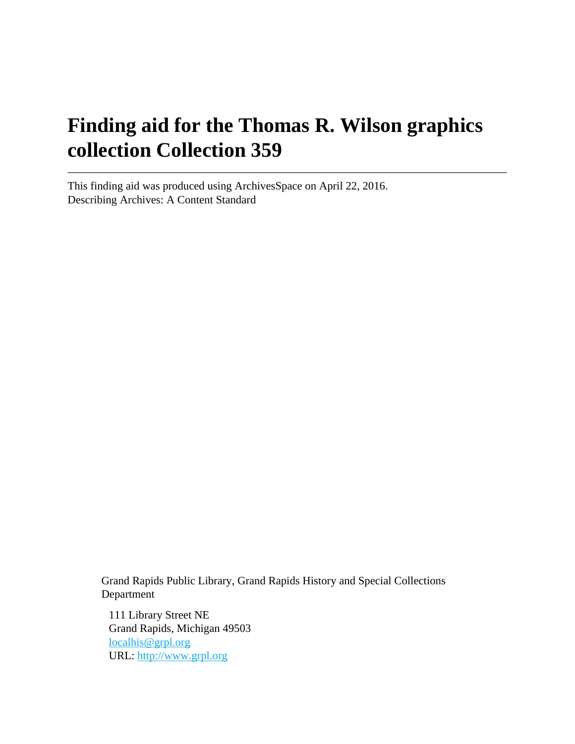# **Finding aid for the Thomas R. Wilson graphics collection Collection 359**

This finding aid was produced using ArchivesSpace on April 22, 2016. Describing Archives: A Content Standard

> Grand Rapids Public Library, Grand Rapids History and Special Collections Department

111 Library Street NE Grand Rapids, Michigan 49503 [localhis@grpl.org](mailto:localhis@grpl.org) URL:<http://www.grpl.org>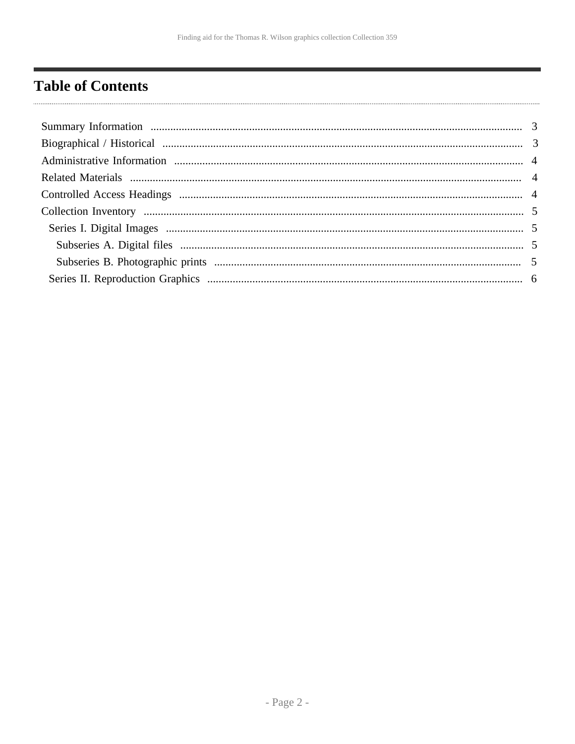## <span id="page-1-0"></span>**Table of Contents**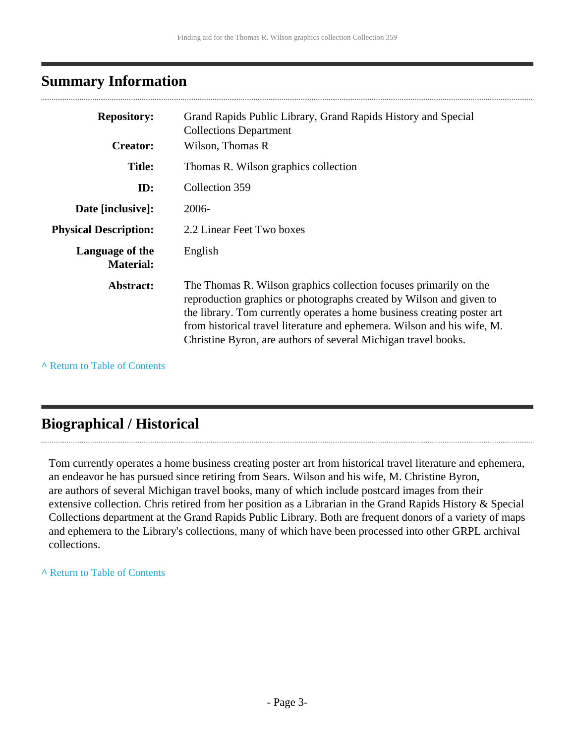### <span id="page-2-0"></span>**Summary Information**

| <b>Repository:</b>                  | Grand Rapids Public Library, Grand Rapids History and Special<br><b>Collections Department</b>                                                                                                                                                                                                                                                                   |
|-------------------------------------|------------------------------------------------------------------------------------------------------------------------------------------------------------------------------------------------------------------------------------------------------------------------------------------------------------------------------------------------------------------|
| <b>Creator:</b>                     | Wilson, Thomas R                                                                                                                                                                                                                                                                                                                                                 |
| <b>Title:</b>                       | Thomas R. Wilson graphics collection                                                                                                                                                                                                                                                                                                                             |
| ID:                                 | Collection 359                                                                                                                                                                                                                                                                                                                                                   |
| Date [inclusive]:                   | 2006-                                                                                                                                                                                                                                                                                                                                                            |
| <b>Physical Description:</b>        | 2.2 Linear Feet Two boxes                                                                                                                                                                                                                                                                                                                                        |
| Language of the<br><b>Material:</b> | English                                                                                                                                                                                                                                                                                                                                                          |
| Abstract:                           | The Thomas R. Wilson graphics collection focuses primarily on the<br>reproduction graphics or photographs created by Wilson and given to<br>the library. Tom currently operates a home business creating poster art<br>from historical travel literature and ephemera. Wilson and his wife, M.<br>Christine Byron, are authors of several Michigan travel books. |

**^** [Return to Table of Contents](#page-1-0)

### <span id="page-2-1"></span>**Biographical / Historical**

Tom currently operates a home business creating poster art from historical travel literature and ephemera, an endeavor he has pursued since retiring from Sears. Wilson and his wife, M. Christine Byron, are authors of several Michigan travel books, many of which include postcard images from their extensive collection. Chris retired from her position as a Librarian in the Grand Rapids History & Special Collections department at the Grand Rapids Public Library. Both are frequent donors of a variety of maps and ephemera to the Library's collections, many of which have been processed into other GRPL archival collections.

#### **^** [Return to Table of Contents](#page-1-0)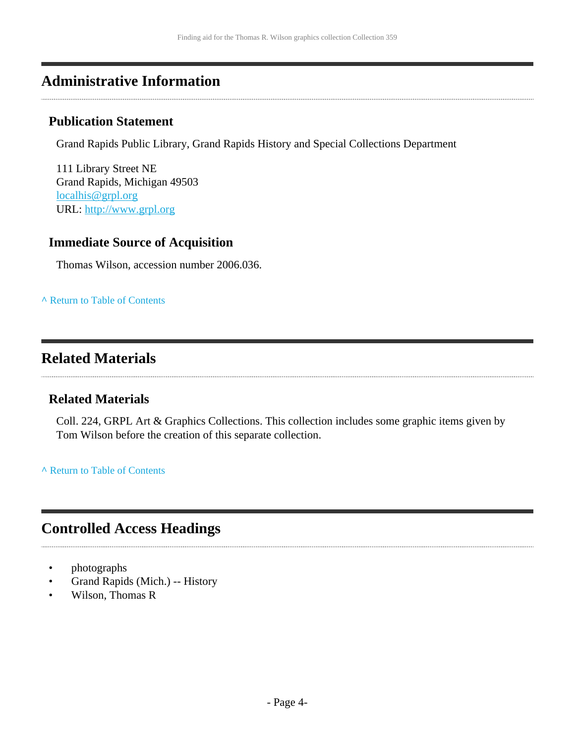### <span id="page-3-0"></span>**Administrative Information**

#### **Publication Statement**

Grand Rapids Public Library, Grand Rapids History and Special Collections Department

111 Library Street NE Grand Rapids, Michigan 49503 [localhis@grpl.org](mailto:localhis@grpl.org) URL:<http://www.grpl.org>

#### **Immediate Source of Acquisition**

Thomas Wilson, accession number 2006.036.

**^** [Return to Table of Contents](#page-1-0)

### <span id="page-3-1"></span>**Related Materials**

#### **Related Materials**

Coll. 224, GRPL Art & Graphics Collections. This collection includes some graphic items given by Tom Wilson before the creation of this separate collection.

**^** [Return to Table of Contents](#page-1-0)

### <span id="page-3-2"></span>**Controlled Access Headings**

- photographs
- Grand Rapids (Mich.) -- History
- Wilson, Thomas R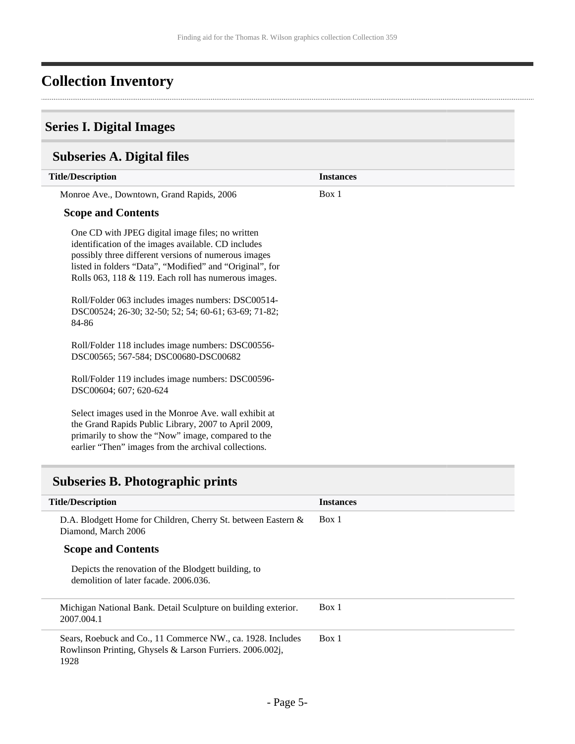# <span id="page-4-0"></span>**Collection Inventory**

### <span id="page-4-1"></span>**Series I. Digital Images**

### <span id="page-4-2"></span>**Subseries A. Digital files**

| <b>Title/Description</b>                                                                                                                                                                                                                                                                                                                                                                                   | <b>Instances</b> |  |
|------------------------------------------------------------------------------------------------------------------------------------------------------------------------------------------------------------------------------------------------------------------------------------------------------------------------------------------------------------------------------------------------------------|------------------|--|
| Monroe Ave., Downtown, Grand Rapids, 2006                                                                                                                                                                                                                                                                                                                                                                  | Box 1            |  |
| <b>Scope and Contents</b>                                                                                                                                                                                                                                                                                                                                                                                  |                  |  |
| One CD with JPEG digital image files; no written<br>identification of the images available. CD includes<br>possibly three different versions of numerous images<br>listed in folders "Data", "Modified" and "Original", for<br>Rolls 063, 118 & 119. Each roll has numerous images.<br>Roll/Folder 063 includes images numbers: DSC00514-<br>DSC00524; 26-30; 32-50; 52; 54; 60-61; 63-69; 71-82;<br>84-86 |                  |  |
| Roll/Folder 118 includes image numbers: DSC00556-<br>DSC00565; 567-584; DSC00680-DSC00682                                                                                                                                                                                                                                                                                                                  |                  |  |
| Roll/Folder 119 includes image numbers: DSC00596-<br>DSC00604; 607; 620-624                                                                                                                                                                                                                                                                                                                                |                  |  |
| Select images used in the Monroe Ave. wall exhibit at<br>the Grand Rapids Public Library, 2007 to April 2009,<br>primarily to show the "Now" image, compared to the<br>earlier "Then" images from the archival collections.                                                                                                                                                                                |                  |  |

### <span id="page-4-3"></span>**Subseries B. Photographic prints**

| <b>Title/Description</b>                                                                                                         | <b>Instances</b> |
|----------------------------------------------------------------------------------------------------------------------------------|------------------|
| D.A. Blodgett Home for Children, Cherry St. between Eastern &<br>Diamond, March 2006                                             | Box 1            |
| <b>Scope and Contents</b>                                                                                                        |                  |
| Depicts the renovation of the Blodgett building, to<br>demolition of later facade, 2006.036.                                     |                  |
| Michigan National Bank. Detail Sculpture on building exterior.<br>2007.004.1                                                     | Box 1            |
| Sears, Roebuck and Co., 11 Commerce NW., ca. 1928. Includes<br>Rowlinson Printing, Ghysels & Larson Furriers. 2006.002j,<br>1928 | Box 1            |